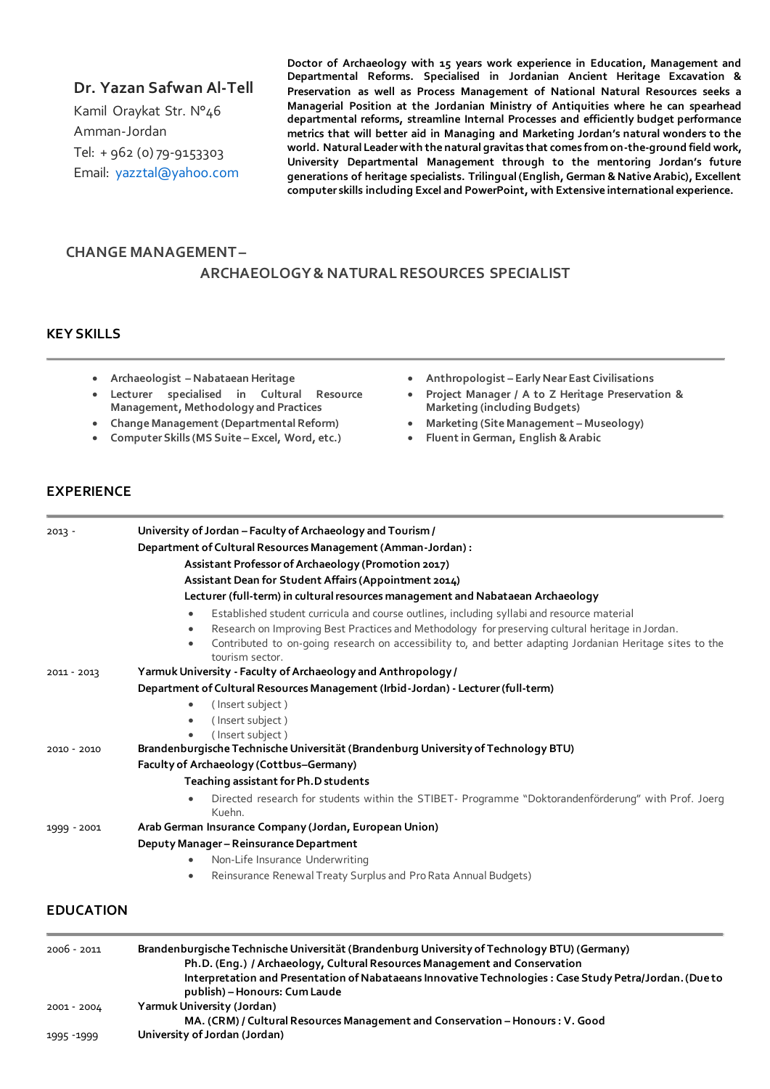### **Dr. Yazan Safwan Al-Tell**

Kamil Oraykat Str. N°46 Amman-Jordan Tel: + 962 (0) 79-9153303 Email: [yazztal@yahoo.com](mailto:yazztal@yahoo.com) **Doctor of Archaeology with 15 years work experience in Education, Management and Departmental Reforms. Specialised in Jordanian Ancient Heritage Excavation & Preservation as well as Process Management of National Natural Resources seeks a Managerial Position at the Jordanian Ministry of Antiquities where he can spearhead departmental reforms, streamline Internal Processes and efficiently budget performance metrics that will better aid in Managing and Marketing Jordan's natural wonders to the world. Natural Leader with the natural gravitas that comes from on-the-ground field work, University Departmental Management through to the mentoring Jordan's future generations of heritage specialists. Trilingual (English, German & Native Arabic), Excellent computer skills including Excel and PowerPoint, with Extensive international experience.** 

# **CHANGE MANAGEMENT –**

#### **ARCHAEOLOGY & NATURAL RESOURCES SPECIALIST**

#### **KEY SKILLS**

- **Archaeologist – Nabataean Heritage**
- **Lecturer specialised in Cultural Resource Management, Methodology and Practices**
- **Change Management (Departmental Reform)**
- **Computer Skills (MS Suite – Excel, Word, etc.)**
- **Anthropologist – Early Near East Civilisations**
- **Project Manager / A to Z Heritage Preservation & Marketing (including Budgets)**
- **Marketing (Site Management – Museology)**
- **Fluent in German, English & Arabic**

#### **EXPERIENCE**

| $2013 -$         | University of Jordan - Faculty of Archaeology and Tourism /                                                                                                                                                                      |
|------------------|----------------------------------------------------------------------------------------------------------------------------------------------------------------------------------------------------------------------------------|
|                  | Department of Cultural Resources Management (Amman-Jordan) :                                                                                                                                                                     |
|                  | Assistant Professor of Archaeology (Promotion 2017)                                                                                                                                                                              |
|                  | Assistant Dean for Student Affairs (Appointment 2014)                                                                                                                                                                            |
|                  | Lecturer (full-term) in cultural resources management and Nabataean Archaeology                                                                                                                                                  |
|                  | Established student curricula and course outlines, including syllabi and resource material                                                                                                                                       |
|                  | Research on Improving Best Practices and Methodology for preserving cultural heritage in Jordan.<br>Contributed to on-going research on accessibility to, and better adapting Jordanian Heritage sites to the<br>tourism sector. |
| 2011 - 2013      | Yarmuk University - Faculty of Archaeology and Anthropology /                                                                                                                                                                    |
|                  | Department of Cultural Resources Management (Irbid-Jordan) - Lecturer (full-term)                                                                                                                                                |
|                  | (Insert subject)<br>$\bullet$                                                                                                                                                                                                    |
|                  | (Insert subject)                                                                                                                                                                                                                 |
| $2010 - 2010$    | (Insert subject)<br>Brandenburgische Technische Universität (Brandenburg University of Technology BTU)                                                                                                                           |
|                  | Faculty of Archaeology (Cottbus-Germany)                                                                                                                                                                                         |
|                  | Teaching assistant for Ph.D students                                                                                                                                                                                             |
|                  | Directed research for students within the STIBET- Programme "Doktorandenförderung" with Prof. Joerg<br>Kuehn.                                                                                                                    |
| 1999 - 2001      | Arab German Insurance Company (Jordan, European Union)                                                                                                                                                                           |
|                  | Deputy Manager-Reinsurance Department                                                                                                                                                                                            |
|                  | Non-Life Insurance Underwriting                                                                                                                                                                                                  |
|                  | Reinsurance Renewal Treaty Surplus and Pro Rata Annual Budgets)<br>$\bullet$                                                                                                                                                     |
|                  |                                                                                                                                                                                                                                  |
| <b>EDUCATION</b> |                                                                                                                                                                                                                                  |

| 2006 - 2011 | Brandenburgische Technische Universität (Brandenburg University of Technology BTU) (Germany)<br>Ph.D. (Eng.) / Archaeology, Cultural Resources Management and Conservation |
|-------------|----------------------------------------------------------------------------------------------------------------------------------------------------------------------------|
|             | Interpretation and Presentation of Nabataeans Innovative Technologies : Case Study Petra/Jordan. (Due to<br>publish) – Honours: Cum Laude                                  |
| 2001 - 2004 | Yarmuk University (Jordan)                                                                                                                                                 |
|             | MA. (CRM) / Cultural Resources Management and Conservation - Honours : V. Good                                                                                             |
| 1995 - 1999 | University of Jordan (Jordan)                                                                                                                                              |